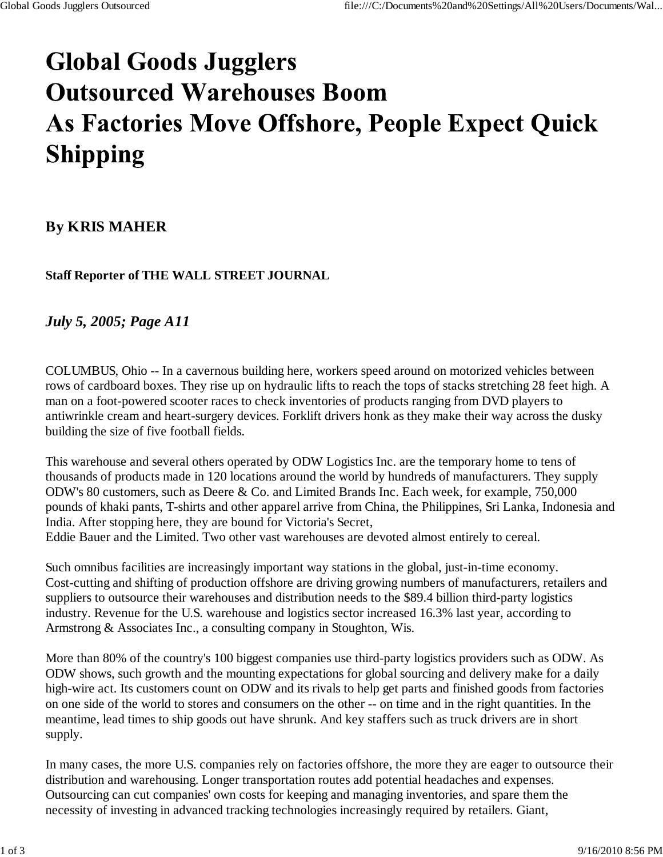## **Global Goods Jugglers Outsourced Warehouses Boom** As Factories Move Offshore, People Expect Quick **Shipping**

## **By KRIS MAHER**

**Staff Reporter of THE WALL STREET JOURNAL**

## *July 5, 2005; Page A11*

COLUMBUS, Ohio -- In a cavernous building here, workers speed around on motorized vehicles between rows of cardboard boxes. They rise up on hydraulic lifts to reach the tops of stacks stretching 28 feet high. A man on a foot-powered scooter races to check inventories of products ranging from DVD players to antiwrinkle cream and heart-surgery devices. Forklift drivers honk as they make their way across the dusky building the size of five football fields.

This warehouse and several others operated by ODW Logistics Inc. are the temporary home to tens of thousands of products made in 120 locations around the world by hundreds of manufacturers. They supply ODW's 80 customers, such as Deere & Co. and Limited Brands Inc. Each week, for example, 750,000 pounds of khaki pants, T-shirts and other apparel arrive from China, the Philippines, Sri Lanka, Indonesia and India. After stopping here, they are bound for Victoria's Secret, Eddie Bauer and the Limited. Two other vast warehouses are devoted almost entirely to cereal.

Such omnibus facilities are increasingly important way stations in the global, just-in-time economy. Cost-cutting and shifting of production offshore are driving growing numbers of manufacturers, retailers and suppliers to outsource their warehouses and distribution needs to the \$89.4 billion third-party logistics industry. Revenue for the U.S. warehouse and logistics sector increased 16.3% last year, according to Armstrong & Associates Inc., a consulting company in Stoughton, Wis.

More than 80% of the country's 100 biggest companies use third-party logistics providers such as ODW. As ODW shows, such growth and the mounting expectations for global sourcing and delivery make for a daily high-wire act. Its customers count on ODW and its rivals to help get parts and finished goods from factories on one side of the world to stores and consumers on the other -- on time and in the right quantities. In the meantime, lead times to ship goods out have shrunk. And key staffers such as truck drivers are in short supply.

In many cases, the more U.S. companies rely on factories offshore, the more they are eager to outsource their distribution and warehousing. Longer transportation routes add potential headaches and expenses. Outsourcing can cut companies' own costs for keeping and managing inventories, and spare them the necessity of investing in advanced tracking technologies increasingly required by retailers. Giant,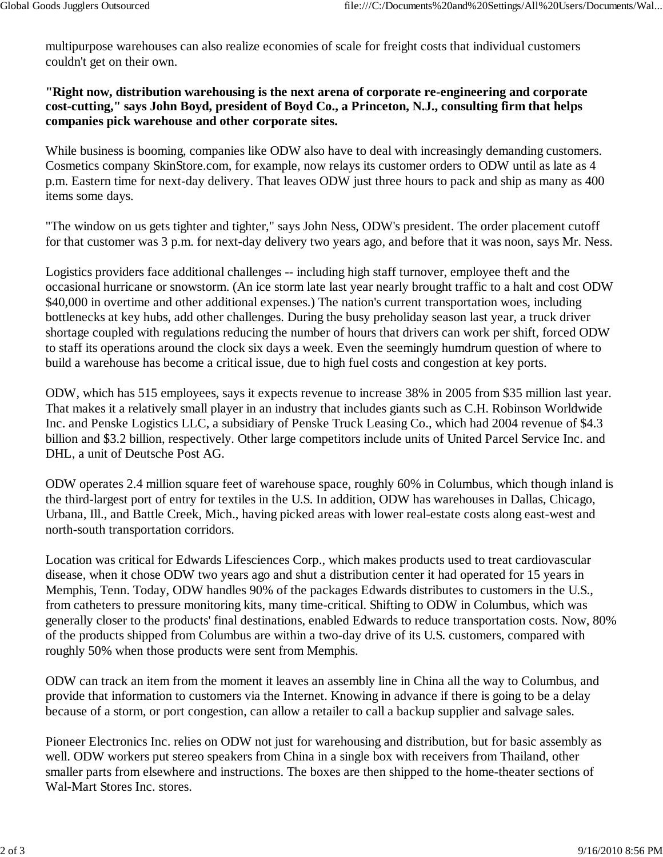multipurpose warehouses can also realize economies of scale for freight costs that individual customers couldn't get on their own.

## **"Right now, distribution warehousing is the next arena of corporate re-engineering and corporate cost-cutting," says John Boyd, president of Boyd Co., a Princeton, N.J., consulting firm that helps companies pick warehouse and other corporate sites.**

While business is booming, companies like ODW also have to deal with increasingly demanding customers. Cosmetics company SkinStore.com, for example, now relays its customer orders to ODW until as late as 4 p.m. Eastern time for next-day delivery. That leaves ODW just three hours to pack and ship as many as 400 items some days.

"The window on us gets tighter and tighter," says John Ness, ODW's president. The order placement cutoff for that customer was 3 p.m. for next-day delivery two years ago, and before that it was noon, says Mr. Ness.

Logistics providers face additional challenges -- including high staff turnover, employee theft and the occasional hurricane or snowstorm. (An ice storm late last year nearly brought traffic to a halt and cost ODW \$40,000 in overtime and other additional expenses.) The nation's current transportation woes, including bottlenecks at key hubs, add other challenges. During the busy preholiday season last year, a truck driver shortage coupled with regulations reducing the number of hours that drivers can work per shift, forced ODW to staff its operations around the clock six days a week. Even the seemingly humdrum question of where to build a warehouse has become a critical issue, due to high fuel costs and congestion at key ports.

ODW, which has 515 employees, says it expects revenue to increase 38% in 2005 from \$35 million last year. That makes it a relatively small player in an industry that includes giants such as C.H. Robinson Worldwide Inc. and Penske Logistics LLC, a subsidiary of Penske Truck Leasing Co., which had 2004 revenue of \$4.3 billion and \$3.2 billion, respectively. Other large competitors include units of United Parcel Service Inc. and DHL, a unit of Deutsche Post AG.

ODW operates 2.4 million square feet of warehouse space, roughly 60% in Columbus, which though inland is the third-largest port of entry for textiles in the U.S. In addition, ODW has warehouses in Dallas, Chicago, Urbana, Ill., and Battle Creek, Mich., having picked areas with lower real-estate costs along east-west and north-south transportation corridors.

Location was critical for Edwards Lifesciences Corp., which makes products used to treat cardiovascular disease, when it chose ODW two years ago and shut a distribution center it had operated for 15 years in Memphis, Tenn. Today, ODW handles 90% of the packages Edwards distributes to customers in the U.S., from catheters to pressure monitoring kits, many time-critical. Shifting to ODW in Columbus, which was generally closer to the products' final destinations, enabled Edwards to reduce transportation costs. Now, 80% of the products shipped from Columbus are within a two-day drive of its U.S. customers, compared with roughly 50% when those products were sent from Memphis.

ODW can track an item from the moment it leaves an assembly line in China all the way to Columbus, and provide that information to customers via the Internet. Knowing in advance if there is going to be a delay because of a storm, or port congestion, can allow a retailer to call a backup supplier and salvage sales.

Pioneer Electronics Inc. relies on ODW not just for warehousing and distribution, but for basic assembly as well. ODW workers put stereo speakers from China in a single box with receivers from Thailand, other smaller parts from elsewhere and instructions. The boxes are then shipped to the home-theater sections of Wal-Mart Stores Inc. stores.